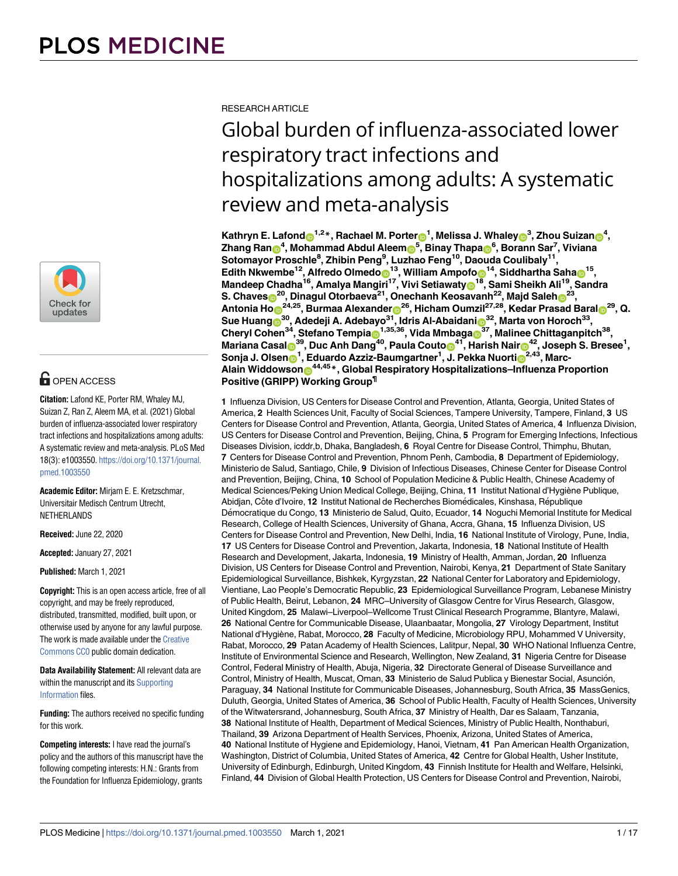

# **O** OPEN ACCESS

**Citation:** Lafond KE, Porter RM, Whaley MJ, Suizan Z, Ran Z, Aleem MA, et al. (2021) Global burden of influenza-associated lower respiratory tract infections and hospitalizations among adults: A systematic review and meta-analysis. PLoS Med 18(3): e1003550. [https://doi.org/10.1371/journal.](https://doi.org/10.1371/journal.pmed.1003550) [pmed.1003550](https://doi.org/10.1371/journal.pmed.1003550)

**Academic Editor:** Mirjam E. E. Kretzschmar, Universitair Medisch Centrum Utrecht, **NETHERLANDS** 

**Received:** June 22, 2020

**Accepted:** January 27, 2021

**Published:** March 1, 2021

**Copyright:** This is an open access article, free of all copyright, and may be freely reproduced, distributed, transmitted, modified, built upon, or otherwise used by anyone for any lawful purpose. The work is made available under the [Creative](https://creativecommons.org/publicdomain/zero/1.0/) [Commons CC0](https://creativecommons.org/publicdomain/zero/1.0/) public domain dedication.

**Data Availability Statement:** All relevant data are within the manuscript and its [Supporting](#page-13-0) [Information](#page-13-0) files.

**Funding:** The authors received no specific funding for this work.

**Competing interests:** I have read the journal's policy and the authors of this manuscript have the following competing interests: H.N.: Grants from the Foundation for Influenza Epidemiology, grants RESEARCH ARTICLE

# Global burden of influenza-associated lower respiratory tract infections and hospitalizations among adults: A systematic review and meta-analysis

 $\mathbf{K}$ athryn E. Lafond $\mathbf{O}^{1,2}$ \*, Rachael M. Porter $\mathbf{O}^{1}$ , Melissa J. Whaley $\mathbf{O}^{3}$ , Zhou Suizan $\mathbf{O}^{4}$ ,  $\mathsf{Zhang\,}$  Ran $\mathbf{\Theta}^4$ , Mohammad Abdul Aleem $\mathbf{\Theta}^5$ , Binay Thapa $\mathbf{\Theta}^6$ , Borann Sar<sup>7</sup>, Viviana **Sotomayor Proschle<sup>8</sup> , Zhibin Peng<sup>9</sup> , Luzhao Feng10, Daouda Coulibaly<sup>11</sup> ,**  $\mathbf{E}$ dith Nkwembe<sup>12</sup>, Alfredo Olmedo $\mathbf{D}^{13}$ , William Ampofo $\mathbf{D}^{14}$ , Siddhartha Saha $\mathbf{D}^{15}$ , **Mandeep Chadha16, Amalya Mangiri17, Vivi Setiawaty[ID](https://orcid.org/0000-0002-1196-7909)18, Sami Sheikh Ali19, Sandra**  $\,$ S. Chaves $\,$ O $^{20}$ , Dinagul Otorbaeva $^{21}$ , Onechanh Keosavanh $^{22}$ , Majd Saleh $\,$ O $^{23}$ ,  $\Lambda$ ntonia Ho $\odot$ <sup>24,25</sup>, Burmaa Alexander $\odot$ <sup>26</sup>, Hicham Oumzil<sup>27,28</sup>, Kedar Prasad Baral $\odot$ <sup>29</sup>, Q.  $\,$ Sue Huang $\,widehat{\bm{0}}^{30}$ , Adedeji A. Adebayo $^{31}$ , Idris Al-Abaidani $\,widehat{\bm{0}}^{32}$ , Marta von Horoch $^{33},$  $R$ Cheryl Cohen<sup>34</sup>, Stefano Tempia $\mathbf{D}^{1,35,36}$ , Vida Mmbaga $\mathbf{D}^{37}$ , Malinee Chittaganpitch<sup>38</sup>,  $M$ ariana Casal $\bullet$ <sup>39</sup>, Duc Anh Dang $^{40}$ , Paula Couto $\bullet$ <sup>41</sup>, Harish Nair $\bullet$ <sup>42</sup>, Joseph S. Bresee<sup>1</sup>,  $\boldsymbol{\mathsf{S}}$ onja J. Olsen $\boldsymbol{\mathsf{D}}^{\boldsymbol{1}},$  Eduardo Azziz-Baumgartner<sup>1</sup>, J. Pekka Nuorti $\boldsymbol{\mathsf{D}}^{2,43},$  Marc-**Alain Widdowson[ID](https://orcid.org/0000-0002-0682-6933)44,45\*, Global Respiratory Hospitalizations–Influenza Proportion Positive (GRIPP) Working Group¶**

**1** Influenza Division, US Centers for Disease Control and Prevention, Atlanta, Georgia, United States of America, **2** Health Sciences Unit, Faculty of Social Sciences, Tampere University, Tampere, Finland, **3** US Centers for Disease Control and Prevention, Atlanta, Georgia, United States of America, **4** Influenza Division, US Centers for Disease Control and Prevention, Beijing, China, **5** Program for Emerging Infections, Infectious Diseases Division, icddr,b, Dhaka, Bangladesh, **6** Royal Centre for Disease Control, Thimphu, Bhutan, **7** Centers for Disease Control and Prevention, Phnom Penh, Cambodia, **8** Department of Epidemiology, Ministerio de Salud, Santiago, Chile, **9** Division of Infectious Diseases, Chinese Center for Disease Control and Prevention, Beijing, China, **10** School of Population Medicine & Public Health, Chinese Academy of Medical Sciences/Peking Union Medical College, Beijing, China, **11** Institut National d'Hygiène Publique, Abidjan, Côte d'Ivoire, 12 Institut National de Recherches Biomédicales, Kinshasa, République De´mocratique du Congo, **13** Ministerio de Salud, Quito, Ecuador, **14** Noguchi Memorial Institute for Medical Research, College of Health Sciences, University of Ghana, Accra, Ghana, **15** Influenza Division, US Centers for Disease Control and Prevention, New Delhi, India, **16** National Institute of Virology, Pune, India, **17** US Centers for Disease Control and Prevention, Jakarta, Indonesia, **18** National Institute of Health Research and Development, Jakarta, Indonesia, **19** Ministry of Health, Amman, Jordan, **20** Influenza Division, US Centers for Disease Control and Prevention, Nairobi, Kenya, **21** Department of State Sanitary Epidemiological Surveillance, Bishkek, Kyrgyzstan, **22** National Center for Laboratory and Epidemiology, Vientiane, Lao People's Democratic Republic, **23** Epidemiological Surveillance Program, Lebanese Ministry of Public Health, Beirut, Lebanon, **24** MRC–University of Glasgow Centre for Virus Research, Glasgow, United Kingdom, **25** Malawi–Liverpool–Wellcome Trust Clinical Research Programme, Blantyre, Malawi, **26** National Centre for Communicable Disease, Ulaanbaatar, Mongolia, **27** Virology Department, Institut National d'Hygiène, Rabat, Morocco, **28** Faculty of Medicine, Microbiology RPU, Mohammed V University, Rabat, Morocco, **29** Patan Academy of Health Sciences, Lalitpur, Nepal, **30** WHO National Influenza Centre, Institute of Environmental Science and Research, Wellington, New Zealand, **31** Nigeria Centre for Disease Control, Federal Ministry of Health, Abuja, Nigeria, **32** Directorate General of Disease Surveillance and Control, Ministry of Health, Muscat, Oman, 33 Ministerio de Salud Publica y Bienestar Social, Asunción, Paraguay, **34** National Institute for Communicable Diseases, Johannesburg, South Africa, **35** MassGenics, Duluth, Georgia, United States of America, **36** School of Public Health, Faculty of Health Sciences, University of the Witwatersrand, Johannesburg, South Africa, **37** Ministry of Health, Dar es Salaam, Tanzania, **38** National Institute of Health, Department of Medical Sciences, Ministry of Public Health, Nonthaburi, Thailand, **39** Arizona Department of Health Services, Phoenix, Arizona, United States of America, **40** National Institute of Hygiene and Epidemiology, Hanoi, Vietnam, **41** Pan American Health Organization, Washington, District of Columbia, United States of America, **42** Centre for Global Health, Usher Institute, University of Edinburgh, Edinburgh, United Kingdom, **43** Finnish Institute for Health and Welfare, Helsinki, Finland, **44** Division of Global Health Protection, US Centers for Disease Control and Prevention, Nairobi,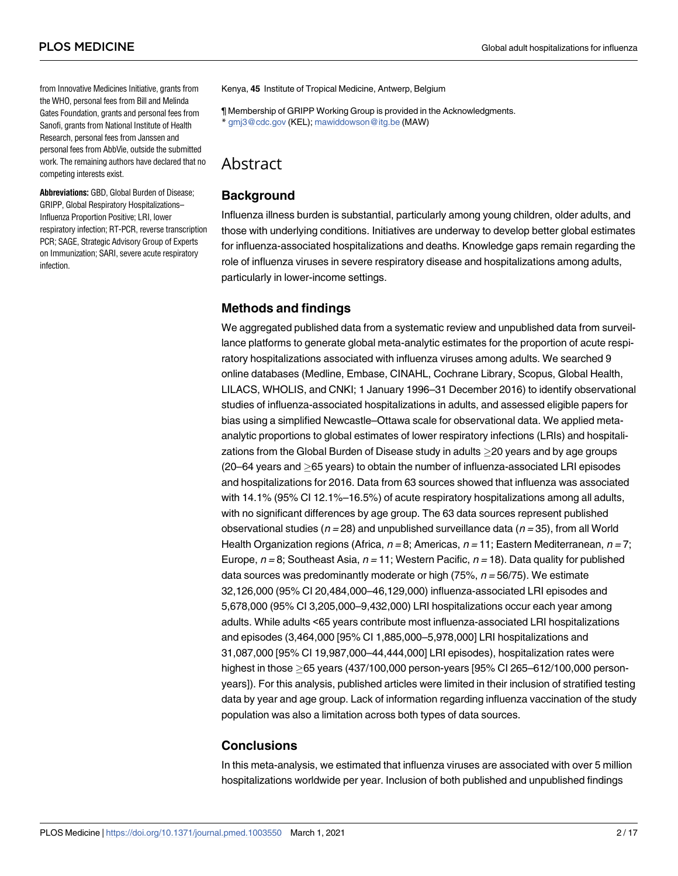from Innovative Medicines Initiative, grants from the WHO, personal fees from Bill and Melinda Gates Foundation, grants and personal fees from Sanofi, grants from National Institute of Health Research, personal fees from Janssen and personal fees from AbbVie, outside the submitted work. The remaining authors have declared that no competing interests exist.

**Abbreviations:** GBD, Global Burden of Disease; GRIPP, Global Respiratory Hospitalizations– Influenza Proportion Positive; LRI, lower respiratory infection; RT-PCR, reverse transcription PCR; SAGE, Strategic Advisory Group of Experts on Immunization; SARI, severe acute respiratory infection.

Kenya, **45** Institute of Tropical Medicine, Antwerp, Belgium

¶ Membership of GRIPP Working Group is provided in the Acknowledgments. \* gmj3@cdc.gov (KEL); mawiddowson@itg.be (MAW)

# Abstract

# **Background Exercise Service Service Service Service Service Service Service Service Service Service Service S**

Influenza illness burden is substantial, particularly among young children, older adults, and those with underlying conditions. Initiatives are underway to develop better global estimates for influenza-associated hospitalizations and deaths. Knowledge gaps remain regarding the role of influenza viruses in severe respiratory disease and hospitalizations among adults, particularly in lower-income settings.

## **Methods and findings**

We aggregated published data from a systematic review and unpublished data from surveillance platforms to generate global meta-analytic estimates for the proportion of acute respiratory hospitalizations associated with influenza viruses among adults. We searched 9 online databases (Medline, Embase, CINAHL, Cochrane Library, Scopus, Global Health, LILACS, WHOLIS, and CNKI; 1 January 1996–31 December 2016) to identify observational studies of influenza-associated hospitalizations in adults, and assessed eligible papers for bias using a simplified Newcastle–Ottawa scale for observational data. We applied metaanalytic proportions to global estimates of lower respiratory infections (LRIs) and hospitalizations from the Global Burden of Disease study in adults  $\geq$ 20 years and by age groups  $(20-64$  years and  $>65$  years) to obtain the number of influenza-associated LRI episodes and hospitalizations for 2016. Data from 63 sources showed that influenza was associated with 14.1% (95% CI 12.1%–16.5%) of acute respiratory hospitalizations among all adults, with no significant differences by age group. The 63 data sources represent published observational studies ( $n = 28$ ) and unpublished surveillance data ( $n = 35$ ), from all World Health Organization regions (Africa,  $n = 8$ ; Americas,  $n = 11$ ; Eastern Mediterranean,  $n = 7$ ; Europe,  $n = 8$ ; Southeast Asia,  $n = 11$ ; Western Pacific,  $n = 18$ ). Data quality for published data sources was predominantly moderate or high (75%,  $n = 56/75$ ). We estimate 32,126,000 (95% CI 20,484,000–46,129,000) influenza-associated LRI episodes and 5,678,000 (95% CI 3,205,000–9,432,000) LRI hospitalizations occur each year among adults. While adults <65 years contribute most influenza-associated LRI hospitalizations and episodes (3,464,000 [95% CI 1,885,000–5,978,000] LRI hospitalizations and 31,087,000 [95% CI 19,987,000–44,444,000] LRI episodes), hospitalization rates were highest in those  $>65$  years (437/100,000 person-years [95% CI 265–612/100,000 personyears]). For this analysis, published articles were limited in their inclusion of stratified testing data by year and age group. Lack of information regarding influenza vaccination of the study population was also a limitation across both types of data sources.

## **Conclusions**

In this meta-analysis, we estimated that influenza viruses are associated with over 5 million hospitalizations worldwide per year. Inclusion of both published and unpublished findings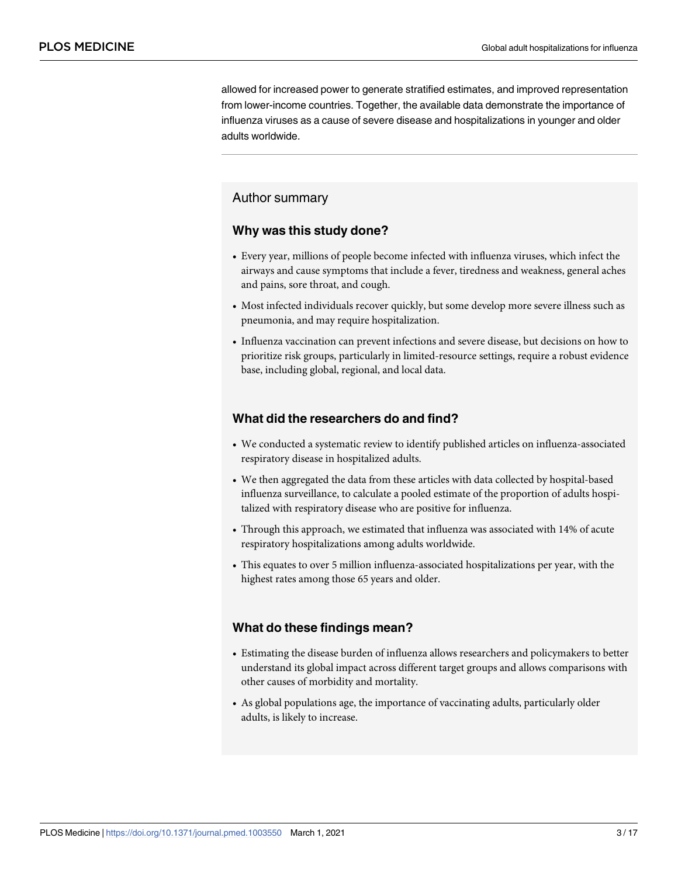allowed for increased power to generate stratified estimates, and improved representation from lower-income countries. Together, the available data demonstrate the importance of influenza viruses as a cause of severe disease and hospitalizations in younger and older adults worldwide.

# Author summary

#### **Why was this study done?**

- Every year, millions of people become infected with influenza viruses, which infect the airways and cause symptoms that include a fever, tiredness and weakness, general aches and pains, sore throat, and cough.
- Most infected individuals recover quickly, but some develop more severe illness such as pneumonia, and may require hospitalization.
- Influenza vaccination can prevent infections and severe disease, but decisions on how to prioritize risk groups, particularly in limited-resource settings, require a robust evidence base, including global, regional, and local data.

#### **What did the researchers do and find?**

- We conducted a systematic review to identify published articles on influenza-associated respiratory disease in hospitalized adults.
- We then aggregated the data from these articles with data collected by hospital-based influenza surveillance, to calculate a pooled estimate of the proportion of adults hospitalized with respiratory disease who are positive for influenza.
- Through this approach, we estimated that influenza was associated with 14% of acute respiratory hospitalizations among adults worldwide.
- This equates to over 5 million influenza-associated hospitalizations per year, with the highest rates among those 65 years and older.

#### **What do these findings mean?**

- Estimating the disease burden of influenza allows researchers and policymakers to better understand its global impact across different target groups and allows comparisons with other causes of morbidity and mortality.
- As global populations age, the importance of vaccinating adults, particularly older adults, is likely to increase.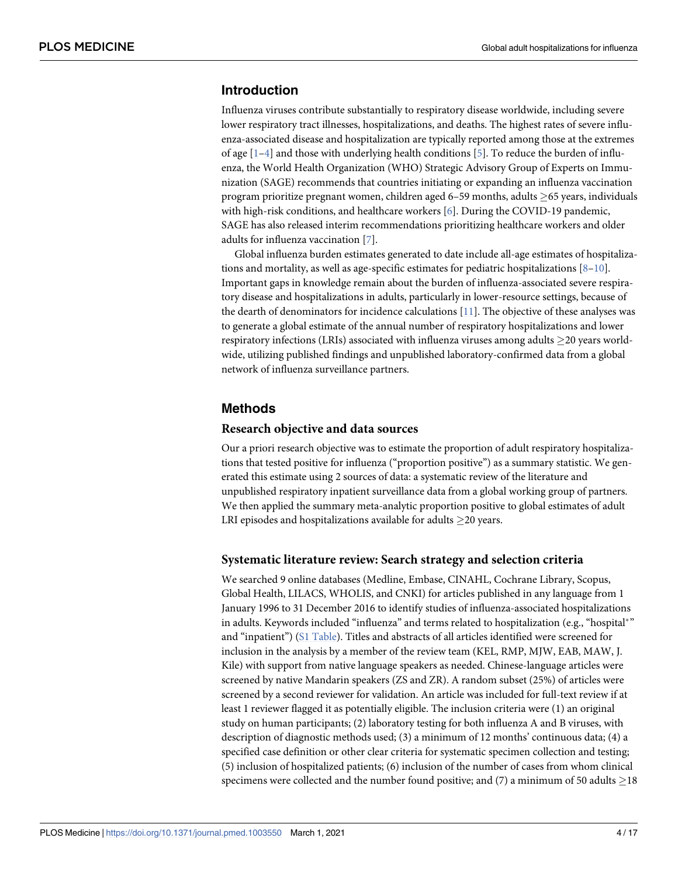# <span id="page-3-0"></span>**Introduction**

Influenza viruses contribute substantially to respiratory disease worldwide, including severe lower respiratory tract illnesses, hospitalizations, and deaths. The highest rates of severe influenza-associated disease and hospitalization are typically reported among those at the extremes of age  $[1-4]$  and those with underlying health conditions [[5\]](#page-15-0). To reduce the burden of influenza, the World Health Organization (WHO) Strategic Advisory Group of Experts on Immunization (SAGE) recommends that countries initiating or expanding an influenza vaccination program prioritize pregnant women, children aged 6–59 months, adults  $\geq$  65 years, individuals with high-risk conditions, and healthcare workers [[6\]](#page-15-0). During the COVID-19 pandemic, SAGE has also released interim recommendations prioritizing healthcare workers and older adults for influenza vaccination [[7\]](#page-16-0).

Global influenza burden estimates generated to date include all-age estimates of hospitalizations and mortality, as well as age-specific estimates for pediatric hospitalizations  $[8-10]$ . Important gaps in knowledge remain about the burden of influenza-associated severe respiratory disease and hospitalizations in adults, particularly in lower-resource settings, because of the dearth of denominators for incidence calculations [[11](#page-16-0)]. The objective of these analyses was to generate a global estimate of the annual number of respiratory hospitalizations and lower respiratory infections (LRIs) associated with influenza viruses among adults  $\geq$ 20 years worldwide, utilizing published findings and unpublished laboratory-confirmed data from a global network of influenza surveillance partners.

#### **Methods**

#### **Research objective and data sources**

Our a priori research objective was to estimate the proportion of adult respiratory hospitalizations that tested positive for influenza ("proportion positive") as a summary statistic. We generated this estimate using 2 sources of data: a systematic review of the literature and unpublished respiratory inpatient surveillance data from a global working group of partners. We then applied the summary meta-analytic proportion positive to global estimates of adult LRI episodes and hospitalizations available for adults  $\geq$ 20 years.

#### **Systematic literature review: Search strategy and selection criteria**

We searched 9 online databases (Medline, Embase, CINAHL, Cochrane Library, Scopus, Global Health, LILACS, WHOLIS, and CNKI) for articles published in any language from 1 January 1996 to 31 December 2016 to identify studies of influenza-associated hospitalizations in adults. Keywords included "influenza" and terms related to hospitalization (e.g., "hospital $^{\ast}$ " and "inpatient") [\(S1 Table](#page-13-0)). Titles and abstracts of all articles identified were screened for inclusion in the analysis by a member of the review team (KEL, RMP, MJW, EAB, MAW, J. Kile) with support from native language speakers as needed. Chinese-language articles were screened by native Mandarin speakers (ZS and ZR). A random subset (25%) of articles were screened by a second reviewer for validation. An article was included for full-text review if at least 1 reviewer flagged it as potentially eligible. The inclusion criteria were (1) an original study on human participants; (2) laboratory testing for both influenza A and B viruses, with description of diagnostic methods used; (3) a minimum of 12 months' continuous data; (4) a specified case definition or other clear criteria for systematic specimen collection and testing; (5) inclusion of hospitalized patients; (6) inclusion of the number of cases from whom clinical specimens were collected and the number found positive; and  $(7)$  a minimum of 50 adults  $>18$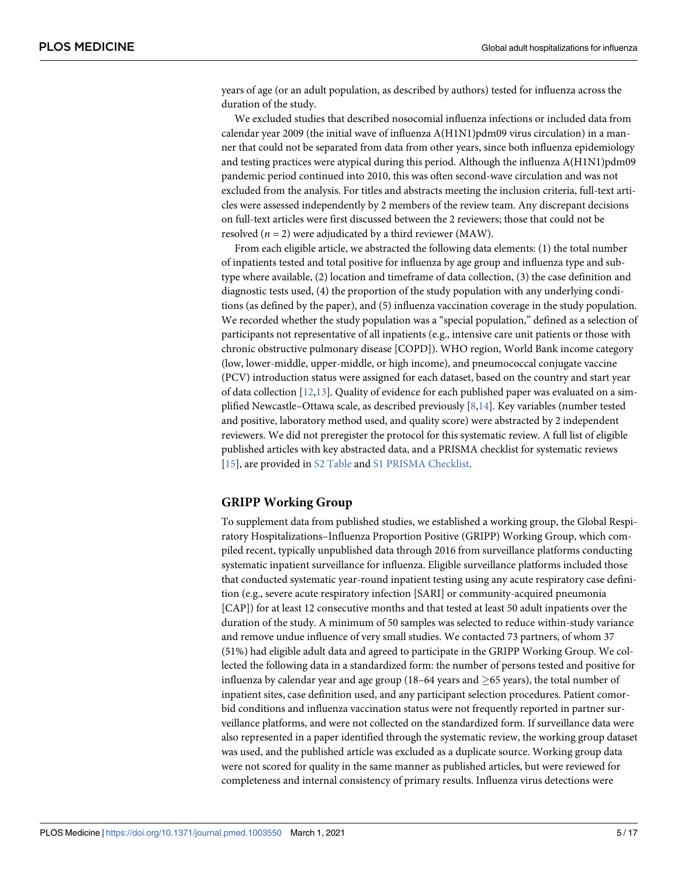<span id="page-4-0"></span>years of age (or an adult population, as described by authors) tested for influenza across the duration of the study.

We excluded studies that described nosocomial influenza infections or included data from calendar year 2009 (the initial wave of influenza A(H1N1)pdm09 virus circulation) in a manner that could not be separated from data from other years, since both influenza epidemiology and testing practices were atypical during this period. Although the influenza A(H1N1)pdm09 pandemic period continued into 2010, this was often second-wave circulation and was not excluded from the analysis. For titles and abstracts meeting the inclusion criteria, full-text articles were assessed independently by 2 members of the review team. Any discrepant decisions on full-text articles were first discussed between the 2 reviewers; those that could not be resolved  $(n = 2)$  were adjudicated by a third reviewer (MAW).

From each eligible article, we abstracted the following data elements: (1) the total number of inpatients tested and total positive for influenza by age group and influenza type and subtype where available, (2) location and timeframe of data collection, (3) the case definition and diagnostic tests used, (4) the proportion of the study population with any underlying conditions (as defined by the paper), and (5) influenza vaccination coverage in the study population. We recorded whether the study population was a "special population," defined as a selection of participants not representative of all inpatients (e.g., intensive care unit patients or those with chronic obstructive pulmonary disease [COPD]). WHO region, World Bank income category (low, lower-middle, upper-middle, or high income), and pneumococcal conjugate vaccine (PCV) introduction status were assigned for each dataset, based on the country and start year of data collection [[12,13\]](#page-16-0). Quality of evidence for each published paper was evaluated on a simplified Newcastle–Ottawa scale, as described previously [\[8,14\]](#page-16-0). Key variables (number tested and positive, laboratory method used, and quality score) were abstracted by 2 independent reviewers. We did not preregister the protocol for this systematic review. A full list of eligible published articles with key abstracted data, and a PRISMA checklist for systematic reviews [\[15\]](#page-16-0), are provided in [S2 Table](#page-13-0) and [S1 PRISMA Checklist.](#page-13-0)

#### **GRIPP Working Group**

To supplement data from published studies, we established a working group, the Global Respiratory Hospitalizations–Influenza Proportion Positive (GRIPP) Working Group, which compiled recent, typically unpublished data through 2016 from surveillance platforms conducting systematic inpatient surveillance for influenza. Eligible surveillance platforms included those that conducted systematic year-round inpatient testing using any acute respiratory case definition (e.g., severe acute respiratory infection [SARI] or community-acquired pneumonia [CAP]) for at least 12 consecutive months and that tested at least 50 adult inpatients over the duration of the study. A minimum of 50 samples was selected to reduce within-study variance and remove undue influence of very small studies. We contacted 73 partners, of whom 37 (51%) had eligible adult data and agreed to participate in the GRIPP Working Group. We collected the following data in a standardized form: the number of persons tested and positive for influenza by calendar year and age group (18–64 years and  $>65$  years), the total number of inpatient sites, case definition used, and any participant selection procedures. Patient comorbid conditions and influenza vaccination status were not frequently reported in partner surveillance platforms, and were not collected on the standardized form. If surveillance data were also represented in a paper identified through the systematic review, the working group dataset was used, and the published article was excluded as a duplicate source. Working group data were not scored for quality in the same manner as published articles, but were reviewed for completeness and internal consistency of primary results. Influenza virus detections were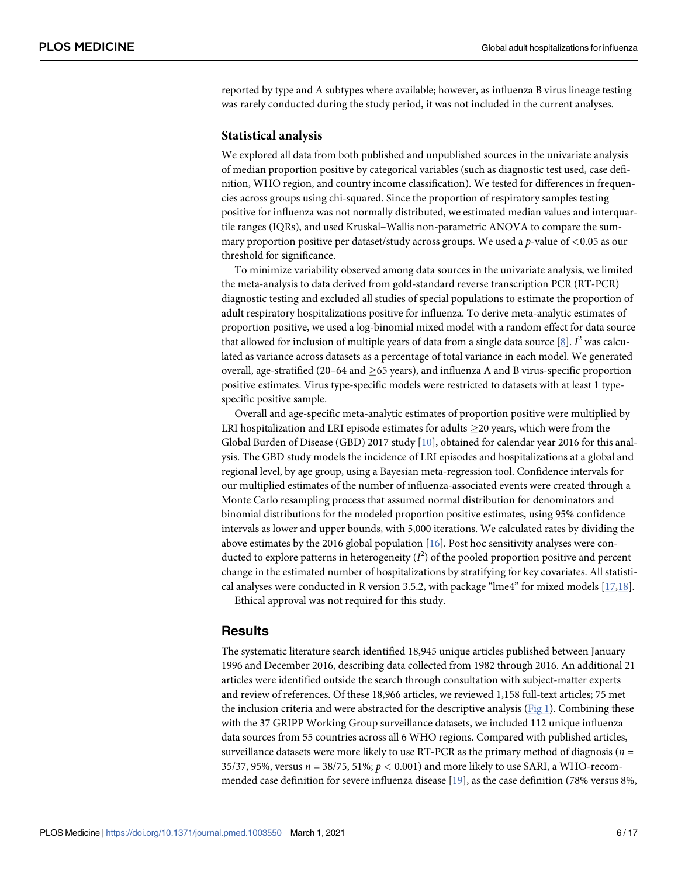<span id="page-5-0"></span>reported by type and A subtypes where available; however, as influenza B virus lineage testing was rarely conducted during the study period, it was not included in the current analyses.

#### **Statistical analysis**

We explored all data from both published and unpublished sources in the univariate analysis of median proportion positive by categorical variables (such as diagnostic test used, case definition, WHO region, and country income classification). We tested for differences in frequencies across groups using chi-squared. Since the proportion of respiratory samples testing positive for influenza was not normally distributed, we estimated median values and interquartile ranges (IQRs), and used Kruskal–Wallis non-parametric ANOVA to compare the summary proportion positive per dataset/study across groups. We used a p-value of *<*0.05 as our threshold for significance.

To minimize variability observed among data sources in the univariate analysis, we limited the meta-analysis to data derived from gold-standard reverse transcription PCR (RT-PCR) diagnostic testing and excluded all studies of special populations to estimate the proportion of adult respiratory hospitalizations positive for influenza. To derive meta-analytic estimates of proportion positive, we used a log-binomial mixed model with a random effect for data source that allowed for inclusion of multiple years of data from a single data source [\[8\]](#page-16-0).  $I^2$  was calculated as variance across datasets as a percentage of total variance in each model. We generated overall, age-stratified (20–64 and  $>65$  years), and influenza A and B virus-specific proportion positive estimates. Virus type-specific models were restricted to datasets with at least 1 typespecific positive sample.

Overall and age-specific meta-analytic estimates of proportion positive were multiplied by LRI hospitalization and LRI episode estimates for adults  $>$ 20 years, which were from the Global Burden of Disease (GBD) 2017 study [[10](#page-16-0)], obtained for calendar year 2016 for this analysis. The GBD study models the incidence of LRI episodes and hospitalizations at a global and regional level, by age group, using a Bayesian meta-regression tool. Confidence intervals for our multiplied estimates of the number of influenza-associated events were created through a Monte Carlo resampling process that assumed normal distribution for denominators and binomial distributions for the modeled proportion positive estimates, using 95% confidence intervals as lower and upper bounds, with 5,000 iterations. We calculated rates by dividing the above estimates by the 2016 global population [[16](#page-16-0)]. Post hoc sensitivity analyses were conducted to explore patterns in heterogeneity ( $I^2$ ) of the pooled proportion positive and percent change in the estimated number of hospitalizations by stratifying for key covariates. All statistical analyses were conducted in R version 3.5.2, with package "lme4" for mixed models [\[17,18\]](#page-16-0).

Ethical approval was not required for this study.

#### **Results**

The systematic literature search identified 18,945 unique articles published between January 1996 and December 2016, describing data collected from 1982 through 2016. An additional 21 articles were identified outside the search through consultation with subject-matter experts and review of references. Of these 18,966 articles, we reviewed 1,158 full-text articles; 75 met the inclusion criteria and were abstracted for the descriptive analysis ( $Fig 1$ ). Combining these with the 37 GRIPP Working Group surveillance datasets, we included 112 unique influenza data sources from 55 countries across all 6 WHO regions. Compared with published articles, surveillance datasets were more likely to use RT-PCR as the primary method of diagnosis ( $n =$ 35/37, 95%, versus n = 38/75, 51%; p *<* 0.001) and more likely to use SARI, a WHO-recommended case definition for severe influenza disease [[19](#page-16-0)], as the case definition (78% versus 8%,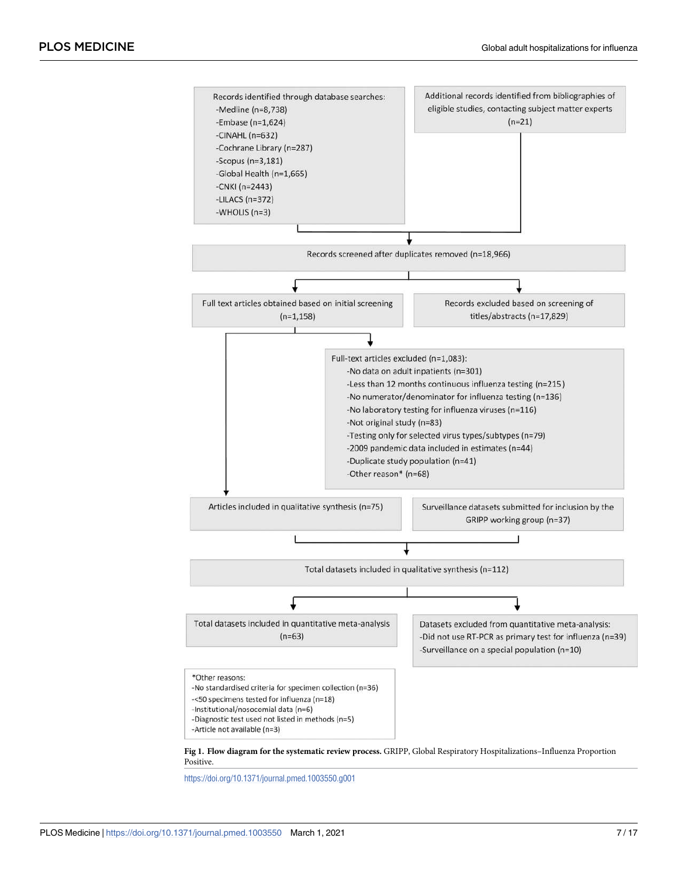<span id="page-6-0"></span>

Positive.

<https://doi.org/10.1371/journal.pmed.1003550.g001>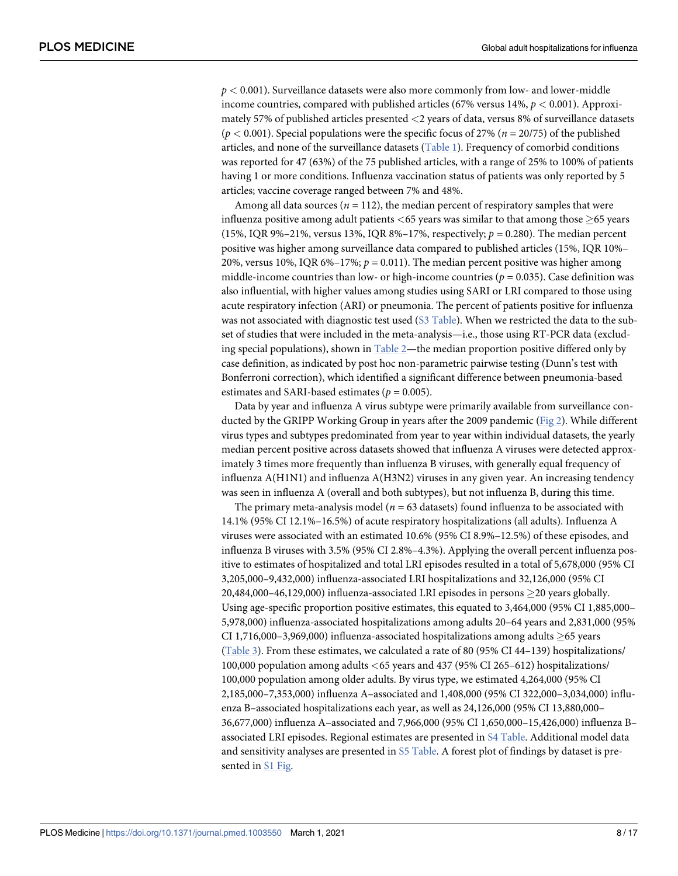<span id="page-7-0"></span>p *<* 0.001). Surveillance datasets were also more commonly from low- and lower-middle income countries, compared with published articles (67% versus 14%, p *<* 0.001). Approximately 57% of published articles presented *<*2 years of data, versus 8% of surveillance datasets ( $p < 0.001$ ). Special populations were the specific focus of 27% ( $n = 20/75$ ) of the published articles, and none of the surveillance datasets ([Table 1\)](#page-8-0). Frequency of comorbid conditions was reported for 47 (63%) of the 75 published articles, with a range of 25% to 100% of patients having 1 or more conditions. Influenza vaccination status of patients was only reported by 5 articles; vaccine coverage ranged between 7% and 48%.

Among all data sources ( $n = 112$ ), the median percent of respiratory samples that were influenza positive among adult patients <65 years was similar to that among those  $\geq$ 65 years (15%, IQR 9%–21%, versus 13%, IQR 8%–17%, respectively;  $p = 0.280$ ). The median percent positive was higher among surveillance data compared to published articles (15%, IQR 10%– 20%, versus 10%, IQR 6%–17%;  $p = 0.011$ ). The median percent positive was higher among middle-income countries than low- or high-income countries ( $p = 0.035$ ). Case definition was also influential, with higher values among studies using SARI or LRI compared to those using acute respiratory infection (ARI) or pneumonia. The percent of patients positive for influenza was not associated with diagnostic test used [\(S3 Table](#page-13-0)). When we restricted the data to the subset of studies that were included in the meta-analysis—i.e., those using RT-PCR data (excluding special populations), shown in [Table 2](#page-10-0)—the median proportion positive differed only by case definition, as indicated by post hoc non-parametric pairwise testing (Dunn's test with Bonferroni correction), which identified a significant difference between pneumonia-based estimates and SARI-based estimates ( $p = 0.005$ ).

Data by year and influenza A virus subtype were primarily available from surveillance conducted by the GRIPP Working Group in years after the 2009 pandemic ([Fig 2](#page-11-0)). While different virus types and subtypes predominated from year to year within individual datasets, the yearly median percent positive across datasets showed that influenza A viruses were detected approximately 3 times more frequently than influenza B viruses, with generally equal frequency of influenza A(H1N1) and influenza A(H3N2) viruses in any given year. An increasing tendency was seen in influenza A (overall and both subtypes), but not influenza B, during this time.

The primary meta-analysis model ( $n = 63$  datasets) found influenza to be associated with 14.1% (95% CI 12.1%–16.5%) of acute respiratory hospitalizations (all adults). Influenza A viruses were associated with an estimated 10.6% (95% CI 8.9%–12.5%) of these episodes, and influenza B viruses with 3.5% (95% CI 2.8%–4.3%). Applying the overall percent influenza positive to estimates of hospitalized and total LRI episodes resulted in a total of 5,678,000 (95% CI 3,205,000–9,432,000) influenza-associated LRI hospitalizations and 32,126,000 (95% CI 20,484,000–46,129,000) influenza-associated LRI episodes in persons  $\geq$ 20 years globally. Using age-specific proportion positive estimates, this equated to 3,464,000 (95% CI 1,885,000– 5,978,000) influenza-associated hospitalizations among adults 20–64 years and 2,831,000 (95% CI 1,716,000–3,969,000) influenza-associated hospitalizations among adults  $>65$  years [\(Table 3\)](#page-12-0). From these estimates, we calculated a rate of 80 (95% CI 44–139) hospitalizations/ 100,000 population among adults *<*65 years and 437 (95% CI 265–612) hospitalizations/ 100,000 population among older adults. By virus type, we estimated 4,264,000 (95% CI 2,185,000–7,353,000) influenza A–associated and 1,408,000 (95% CI 322,000–3,034,000) influenza B–associated hospitalizations each year, as well as 24,126,000 (95% CI 13,880,000– 36,677,000) influenza A–associated and 7,966,000 (95% CI 1,650,000–15,426,000) influenza B– associated LRI episodes. Regional estimates are presented in [S4 Table](#page-13-0). Additional model data and sensitivity analyses are presented in [S5 Table](#page-13-0). A forest plot of findings by dataset is pre-sented in [S1 Fig.](#page-13-0)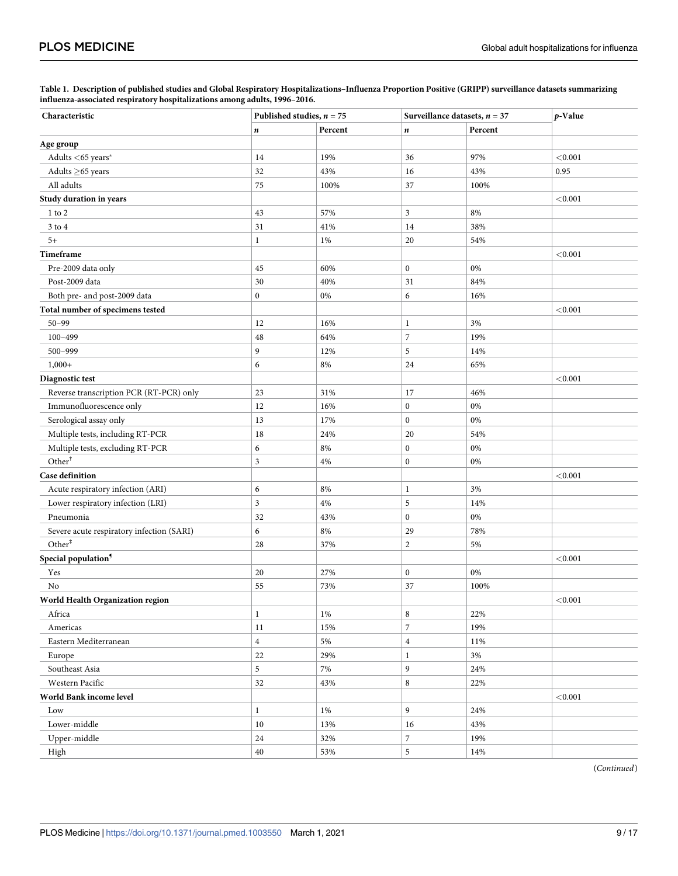<span id="page-8-0"></span>

| Table 1. Description of published studies and Global Respiratory Hospitalizations-Influenza Proportion Positive (GRIPP) surveillance datasets summarizing |  |
|-----------------------------------------------------------------------------------------------------------------------------------------------------------|--|
| influenza-associated respiratory hospitalizations among adults, 1996–2016.                                                                                |  |

| Characteristic                            | Published studies, $n = 75$ |         | Surveillance datasets, $n = 37$ |         | p-Value |
|-------------------------------------------|-----------------------------|---------|---------------------------------|---------|---------|
|                                           | n                           | Percent | n                               | Percent |         |
| Age group                                 |                             |         |                                 |         |         |
| Adults <65 years*                         | 14                          | 19%     | 36                              | 97%     | < 0.001 |
| Adults $\geq$ 65 years                    | 32                          | 43%     | 16                              | 43%     | 0.95    |
| All adults                                | 75                          | 100%    | 37                              | 100%    |         |
| Study duration in years                   |                             |         |                                 |         | < 0.001 |
| $1$ to $2$                                | 43                          | 57%     | 3                               | 8%      |         |
| $3$ to $4\,$                              | 31                          | 41%     | 14                              | 38%     |         |
| $5+$                                      | $\mathbf{1}$                | 1%      | 20                              | 54%     |         |
| Timeframe                                 |                             |         |                                 |         | < 0.001 |
| Pre-2009 data only                        | 45                          | 60%     | $\boldsymbol{0}$                | 0%      |         |
| Post-2009 data                            | 30                          | 40%     | 31                              | 84%     |         |
| Both pre- and post-2009 data              | $\mathbf{0}$                | $0\%$   | 6                               | 16%     |         |
| Total number of specimens tested          |                             |         |                                 |         | < 0.001 |
| $50 - 99$                                 | 12                          | 16%     | $\,1$                           | 3%      |         |
| $100 - 499$                               | 48                          | 64%     | $\overline{7}$                  | 19%     |         |
| 500-999                                   | 9                           | 12%     | 5                               | 14%     |         |
| $1,000+$                                  | 6                           | 8%      | 24                              | 65%     |         |
| Diagnostic test                           |                             |         |                                 |         | < 0.001 |
| Reverse transcription PCR (RT-PCR) only   | 23                          | 31%     | 17                              | 46%     |         |
| Immunofluorescence only                   | 12                          | 16%     | $\boldsymbol{0}$                | $0\%$   |         |
| Serological assay only                    | 13                          | 17%     | $\boldsymbol{0}$                | 0%      |         |
| Multiple tests, including RT-PCR          | 18                          | 24%     | 20                              | 54%     |         |
| Multiple tests, excluding RT-PCR          | 6                           | 8%      | $\boldsymbol{0}$                | $0\%$   |         |
| Other <sup>†</sup>                        | 3                           | 4%      | $\boldsymbol{0}$                | $0\%$   |         |
| <b>Case definition</b>                    |                             |         |                                 |         | < 0.001 |
| Acute respiratory infection (ARI)         | 6                           | 8%      | $\mathbf{1}$                    | 3%      |         |
| Lower respiratory infection (LRI)         | 3                           | $4\%$   | 5                               | 14%     |         |
| Pneumonia                                 | 32                          | 43%     | $\boldsymbol{0}$                | $0\%$   |         |
| Severe acute respiratory infection (SARI) | 6                           | 8%      | 29                              | 78%     |         |
| Other <sup>#</sup>                        | 28                          | 37%     | $\overline{c}$                  | 5%      |         |
| Special population <sup>9</sup>           |                             |         |                                 |         | < 0.001 |
| Yes                                       | 20                          | 27%     | $\boldsymbol{0}$                | $0\%$   |         |
| No                                        | 55                          | 73%     | 37                              | 100%    |         |
| World Health Organization region          |                             |         |                                 |         | < 0.001 |
| Africa                                    | 1                           | 1%      | $\,$ 8 $\,$                     | 22%     |         |
| Americas                                  | 11                          | 15%     | $\overline{7}$                  | 19%     |         |
| Eastern Mediterranean                     | $\overline{4}$              | 5%      | $\overline{\mathbf{4}}$         | 11%     |         |
| Europe                                    | 22                          | 29%     | $\mathbf{1}$                    | $3\%$   |         |
| Southeast Asia                            | 5                           | 7%      | 9                               | 24%     |         |
| Western Pacific                           | 32                          | 43%     | $\,$ 8 $\,$                     | 22%     |         |
| World Bank income level                   |                             |         |                                 |         | < 0.001 |
| Low                                       | $\mathbf{1}$                | 1%      | 9                               | 24%     |         |
| Lower-middle                              | $10\,$                      | 13%     | 16                              | 43%     |         |
| Upper-middle                              | 24                          | 32%     | $\overline{7}$                  | 19%     |         |
| High                                      | $40\,$                      | 53%     | 5                               | 14%     |         |

(Continued)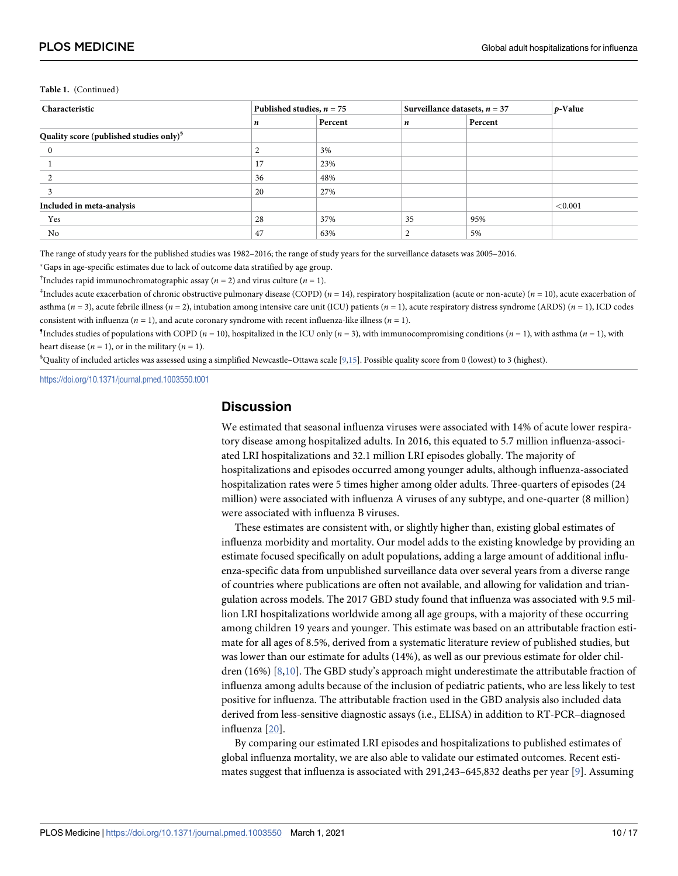#### <span id="page-9-0"></span>**Table 1.** (Continued)

| Characteristic                                      | Published studies, $n = 75$ |         | Surveillance datasets, $n = 37$ |         | $p$ -Value |
|-----------------------------------------------------|-----------------------------|---------|---------------------------------|---------|------------|
|                                                     | n                           | Percent | n                               | Percent |            |
| Quality score (published studies only) <sup>§</sup> |                             |         |                                 |         |            |
|                                                     |                             | 3%      |                                 |         |            |
|                                                     | 17                          | 23%     |                                 |         |            |
|                                                     | 36                          | 48%     |                                 |         |            |
|                                                     | 20                          | 27%     |                                 |         |            |
| Included in meta-analysis                           |                             |         |                                 |         | < 0.001    |
| Yes                                                 | 28                          | 37%     | 35                              | 95%     |            |
| No                                                  | 47                          | 63%     |                                 | 5%      |            |

The range of study years for the published studies was 1982-2016; the range of study years for the surveillance datasets was 2005-2016.

�Gaps in age-specific estimates due to lack of outcome data stratified by age group.

<sup>†</sup>Includes rapid immunochromatographic assay ( $n = 2$ ) and virus culture ( $n = 1$ ).

 $^{\ddagger}$ Includes acute exacerbation of chronic obstructive pulmonary disease (COPD) ( $n=14$ ), respiratory hospitalization (acute or non-acute) ( $n=10$ ), acute exacerbation of asthma ( $n = 3$ ), acute febrile illness ( $n = 2$ ), intubation among intensive care unit (ICU) patients ( $n = 1$ ), acute respiratory distress syndrome (ARDS) ( $n = 1$ ), ICD codes consistent with influenza ( $n = 1$ ), and acute coronary syndrome with recent influenza-like illness ( $n = 1$ ).

Includes studies of populations with COPD ( $n = 10$ ), hospitalized in the ICU only ( $n = 3$ ), with immunocompromising conditions ( $n = 1$ ), with asthma ( $n = 1$ ), with heart disease ( $n = 1$ ), or in the military ( $n = 1$ ).

 $^{\circ}$ Quality of included articles was assessed using a simplified Newcastle–Ottawa scale [\[9,15](#page-16-0)]. Possible quality score from 0 (lowest) to 3 (highest).

<https://doi.org/10.1371/journal.pmed.1003550.t001>

## **Discussion**

We estimated that seasonal influenza viruses were associated with 14% of acute lower respiratory disease among hospitalized adults. In 2016, this equated to 5.7 million influenza-associated LRI hospitalizations and 32.1 million LRI episodes globally. The majority of hospitalizations and episodes occurred among younger adults, although influenza-associated hospitalization rates were 5 times higher among older adults. Three-quarters of episodes (24 million) were associated with influenza A viruses of any subtype, and one-quarter (8 million) were associated with influenza B viruses.

These estimates are consistent with, or slightly higher than, existing global estimates of influenza morbidity and mortality. Our model adds to the existing knowledge by providing an estimate focused specifically on adult populations, adding a large amount of additional influenza-specific data from unpublished surveillance data over several years from a diverse range of countries where publications are often not available, and allowing for validation and triangulation across models. The 2017 GBD study found that influenza was associated with 9.5 million LRI hospitalizations worldwide among all age groups, with a majority of these occurring among children 19 years and younger. This estimate was based on an attributable fraction estimate for all ages of 8.5%, derived from a systematic literature review of published studies, but was lower than our estimate for adults (14%), as well as our previous estimate for older children (16%) [\[8,10\]](#page-16-0). The GBD study's approach might underestimate the attributable fraction of influenza among adults because of the inclusion of pediatric patients, who are less likely to test positive for influenza. The attributable fraction used in the GBD analysis also included data derived from less-sensitive diagnostic assays (i.e., ELISA) in addition to RT-PCR–diagnosed influenza [[20](#page-16-0)].

By comparing our estimated LRI episodes and hospitalizations to published estimates of global influenza mortality, we are also able to validate our estimated outcomes. Recent estimates suggest that influenza is associated with 291,243–645,832 deaths per year [\[9](#page-16-0)]. Assuming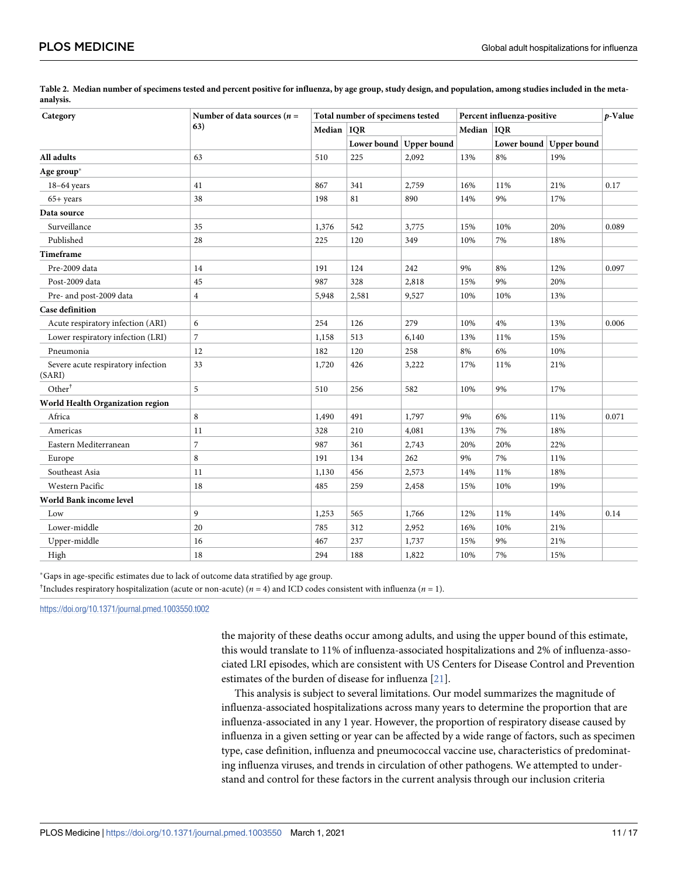| Category                                     | Number of data sources ( $n =$<br>63) | Total number of specimens tested |       |                         | Percent influenza-positive |            |                         | p-Value |
|----------------------------------------------|---------------------------------------|----------------------------------|-------|-------------------------|----------------------------|------------|-------------------------|---------|
|                                              |                                       | Median   IQR                     |       |                         | Median                     | <b>IQR</b> |                         |         |
|                                              |                                       |                                  |       | Lower bound Upper bound |                            |            | Lower bound Upper bound |         |
| All adults                                   | 63                                    | 510                              | 225   | 2,092                   | 13%                        | 8%         | 19%                     |         |
| Age group*                                   |                                       |                                  |       |                         |                            |            |                         |         |
| $18-64$ years                                | 41                                    | 867                              | 341   | 2,759                   | 16%                        | 11%        | 21%                     | 0.17    |
| $65+ years$                                  | 38                                    | 198                              | 81    | 890                     | 14%                        | 9%         | 17%                     |         |
| Data source                                  |                                       |                                  |       |                         |                            |            |                         |         |
| Surveillance                                 | 35                                    | 1,376                            | 542   | 3,775                   | 15%                        | 10%        | 20%                     | 0.089   |
| Published                                    | 28                                    | 225                              | 120   | 349                     | 10%                        | 7%         | 18%                     |         |
| Timeframe                                    |                                       |                                  |       |                         |                            |            |                         |         |
| Pre-2009 data                                | 14                                    | 191                              | 124   | 242                     | 9%                         | 8%         | 12%                     | 0.097   |
| Post-2009 data                               | 45                                    | 987                              | 328   | 2,818                   | 15%                        | 9%         | 20%                     |         |
| Pre- and post-2009 data                      | $\overline{4}$                        | 5,948                            | 2,581 | 9,527                   | 10%                        | 10%        | 13%                     |         |
| <b>Case definition</b>                       |                                       |                                  |       |                         |                            |            |                         |         |
| Acute respiratory infection (ARI)            | 6                                     | 254                              | 126   | 279                     | 10%                        | 4%         | 13%                     | 0.006   |
| Lower respiratory infection (LRI)            | $\overline{7}$                        | 1,158                            | 513   | 6,140                   | 13%                        | 11%        | 15%                     |         |
| Pneumonia                                    | 12                                    | 182                              | 120   | 258                     | 8%                         | 6%         | 10%                     |         |
| Severe acute respiratory infection<br>(SARI) | 33                                    | 1,720                            | 426   | 3,222                   | 17%                        | 11%        | 21%                     |         |
| Other <sup>†</sup>                           | 5                                     | 510                              | 256   | 582                     | 10%                        | 9%         | 17%                     |         |
| World Health Organization region             |                                       |                                  |       |                         |                            |            |                         |         |
| Africa                                       | 8                                     | 1,490                            | 491   | 1,797                   | 9%                         | 6%         | 11%                     | 0.071   |
| Americas                                     | 11                                    | 328                              | 210   | 4,081                   | 13%                        | 7%         | 18%                     |         |
| Eastern Mediterranean                        | 7                                     | 987                              | 361   | 2,743                   | 20%                        | 20%        | 22%                     |         |
| Europe                                       | 8                                     | 191                              | 134   | 262                     | 9%                         | 7%         | 11%                     |         |
| Southeast Asia                               | 11                                    | 1,130                            | 456   | 2,573                   | 14%                        | 11%        | 18%                     |         |
| Western Pacific                              | 18                                    | 485                              | 259   | 2,458                   | 15%                        | 10%        | 19%                     |         |
| World Bank income level                      |                                       |                                  |       |                         |                            |            |                         |         |
| Low                                          | 9                                     | 1,253                            | 565   | 1,766                   | 12%                        | 11%        | 14%                     | 0.14    |
| Lower-middle                                 | 20                                    | 785                              | 312   | 2,952                   | 16%                        | 10%        | 21%                     |         |
| Upper-middle                                 | 16                                    | 467                              | 237   | 1,737                   | 15%                        | 9%         | 21%                     |         |
| High                                         | 18                                    | 294                              | 188   | 1,822                   | 10%                        | 7%         | 15%                     |         |

<span id="page-10-0"></span>[Table 2](#page-7-0). Median number of specimens tested and percent positive for influenza, by age group, study design, and population, among studies included in the meta**analysis.**

�Gaps in age-specific estimates due to lack of outcome data stratified by age group.

<sup>†</sup>Includes respiratory hospitalization (acute or non-acute) ( $n = 4$ ) and ICD codes consistent with influenza ( $n = 1$ ).

<https://doi.org/10.1371/journal.pmed.1003550.t002>

the majority of these deaths occur among adults, and using the upper bound of this estimate, this would translate to 11% of influenza-associated hospitalizations and 2% of influenza-associated LRI episodes, which are consistent with US Centers for Disease Control and Prevention estimates of the burden of disease for influenza [[21](#page-16-0)].

This analysis is subject to several limitations. Our model summarizes the magnitude of influenza-associated hospitalizations across many years to determine the proportion that are influenza-associated in any 1 year. However, the proportion of respiratory disease caused by influenza in a given setting or year can be affected by a wide range of factors, such as specimen type, case definition, influenza and pneumococcal vaccine use, characteristics of predominating influenza viruses, and trends in circulation of other pathogens. We attempted to understand and control for these factors in the current analysis through our inclusion criteria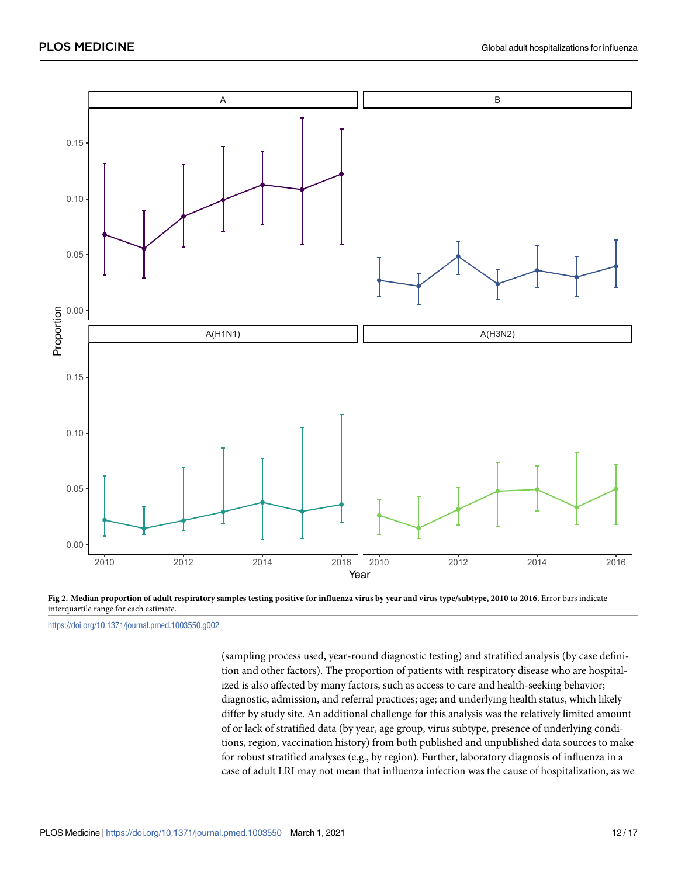<span id="page-11-0"></span>

**[Fig 2.](#page-7-0) Median proportion of adult respiratory samples testing positive for influenza virus by year and virus type/subtype, 2010 to 2016.** Error bars indicate interquartile range for each estimate.

<https://doi.org/10.1371/journal.pmed.1003550.g002>

(sampling process used, year-round diagnostic testing) and stratified analysis (by case definition and other factors). The proportion of patients with respiratory disease who are hospitalized is also affected by many factors, such as access to care and health-seeking behavior; diagnostic, admission, and referral practices; age; and underlying health status, which likely differ by study site. An additional challenge for this analysis was the relatively limited amount of or lack of stratified data (by year, age group, virus subtype, presence of underlying conditions, region, vaccination history) from both published and unpublished data sources to make for robust stratified analyses (e.g., by region). Further, laboratory diagnosis of influenza in a case of adult LRI may not mean that influenza infection was the cause of hospitalization, as we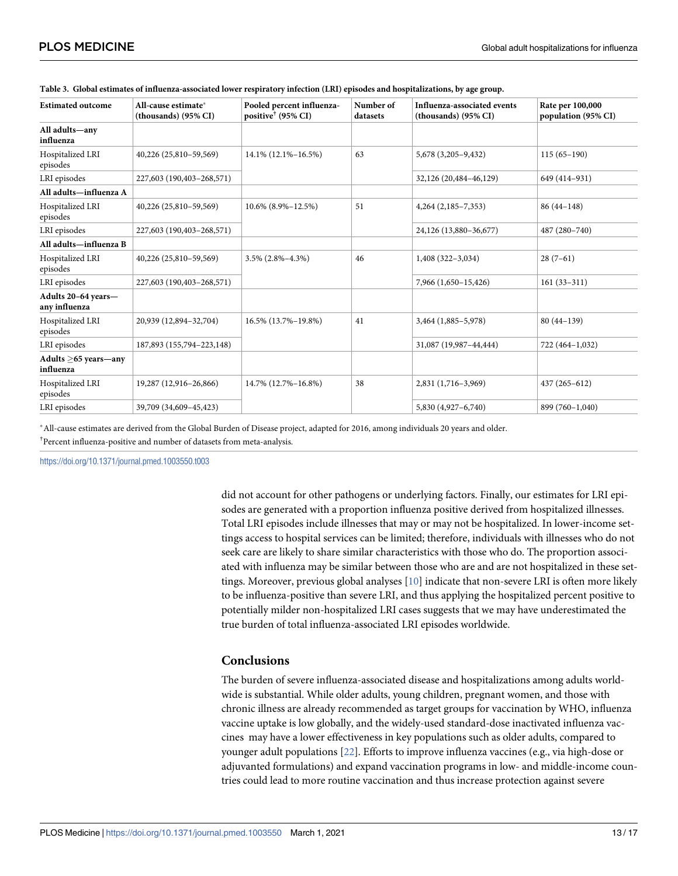| <b>Estimated outcome</b>             | All-cause estimate*<br>(thousands) (95% CI) | Pooled percent influenza-<br>positive <sup>†</sup> (95% CI) | Number of<br>datasets | Influenza-associated events<br>(thousands) (95% CI) | Rate per 100,000<br>population (95% CI) |
|--------------------------------------|---------------------------------------------|-------------------------------------------------------------|-----------------------|-----------------------------------------------------|-----------------------------------------|
| All adults-any<br>influenza          |                                             |                                                             |                       |                                                     |                                         |
| Hospitalized LRI<br>episodes         | 40,226 (25,810-59,569)                      | 14.1% (12.1%-16.5%)                                         | 63                    | 5,678 (3,205-9,432)                                 | $115(65-190)$                           |
| LRI episodes                         | 227,603 (190,403-268,571)                   |                                                             |                       | 32,126 (20,484-46,129)                              | 649 (414-931)                           |
| All adults—influenza A               |                                             |                                                             |                       |                                                     |                                         |
| Hospitalized LRI<br>episodes         | 40,226 (25,810-59,569)                      | 10.6% (8.9%-12.5%)                                          | 51                    | $4,264$ $(2,185-7,353)$                             | $86(44-148)$                            |
| LRI episodes                         | 227,603 (190,403-268,571)                   |                                                             |                       | 24,126 (13,880-36,677)                              | 487 (280-740)                           |
| All adults—influenza B               |                                             |                                                             |                       |                                                     |                                         |
| Hospitalized LRI<br>episodes         | 40,226 (25,810-59,569)                      | $3.5\%$ $(2.8\% - 4.3\%)$                                   | 46                    | 1,408 (322-3,034)                                   | $28(7-61)$                              |
| LRI episodes                         | 227,603 (190,403-268,571)                   |                                                             |                       | 7,966 (1,650-15,426)                                | $161(33-311)$                           |
| Adults 20-64 years-<br>any influenza |                                             |                                                             |                       |                                                     |                                         |
| Hospitalized LRI<br>episodes         | 20,939 (12,894-32,704)                      | 16.5% (13.7%-19.8%)                                         | 41                    | 3,464 (1,885-5,978)                                 | $80(44-139)$                            |
| LRI episodes                         | 187,893 (155,794-223,148)                   |                                                             |                       | 31,087 (19,987-44,444)                              | 722 (464-1,032)                         |
| Adults $>65$ years—any<br>influenza  |                                             |                                                             |                       |                                                     |                                         |
| Hospitalized LRI<br>episodes         | 19,287 (12,916-26,866)                      | 14.7% (12.7%-16.8%)                                         | 38                    | 2,831 (1,716-3,969)                                 | 437 (265-612)                           |
| LRI episodes                         | 39,709 (34,609-45,423)                      |                                                             |                       | 5,830 (4,927-6,740)                                 | 899 (760-1,040)                         |

<span id="page-12-0"></span>

| Table 3. Global estimates of influenza-associated lower respiratory infection (LRI) episodes and hospitalizations, by age group. |  |  |  |
|----------------------------------------------------------------------------------------------------------------------------------|--|--|--|
|----------------------------------------------------------------------------------------------------------------------------------|--|--|--|

�All-cause estimates are derived from the Global Burden of Disease project, adapted for 2016, among individuals 20 years and older. † Percent influenza-positive and number of datasets from meta-analysis.

<https://doi.org/10.1371/journal.pmed.1003550.t003>

did not account for other pathogens or underlying factors. Finally, our estimates for LRI episodes are generated with a proportion influenza positive derived from hospitalized illnesses. Total LRI episodes include illnesses that may or may not be hospitalized. In lower-income settings access to hospital services can be limited; therefore, individuals with illnesses who do not seek care are likely to share similar characteristics with those who do. The proportion associated with influenza may be similar between those who are and are not hospitalized in these settings. Moreover, previous global analyses [[10](#page-16-0)] indicate that non-severe LRI is often more likely to be influenza-positive than severe LRI, and thus applying the hospitalized percent positive to potentially milder non-hospitalized LRI cases suggests that we may have underestimated the true burden of total influenza-associated LRI episodes worldwide.

## **Conclusions**

The burden of severe influenza-associated disease and hospitalizations among adults worldwide is substantial. While older adults, young children, pregnant women, and those with chronic illness are already recommended as target groups for vaccination by WHO, influenza vaccine uptake is low globally, and the widely-used standard-dose inactivated influenza vaccines may have a lower effectiveness in key populations such as older adults, compared to younger adult populations [[22](#page-16-0)]. Efforts to improve influenza vaccines (e.g., via high-dose or adjuvanted formulations) and expand vaccination programs in low- and middle-income countries could lead to more routine vaccination and thus increase protection against severe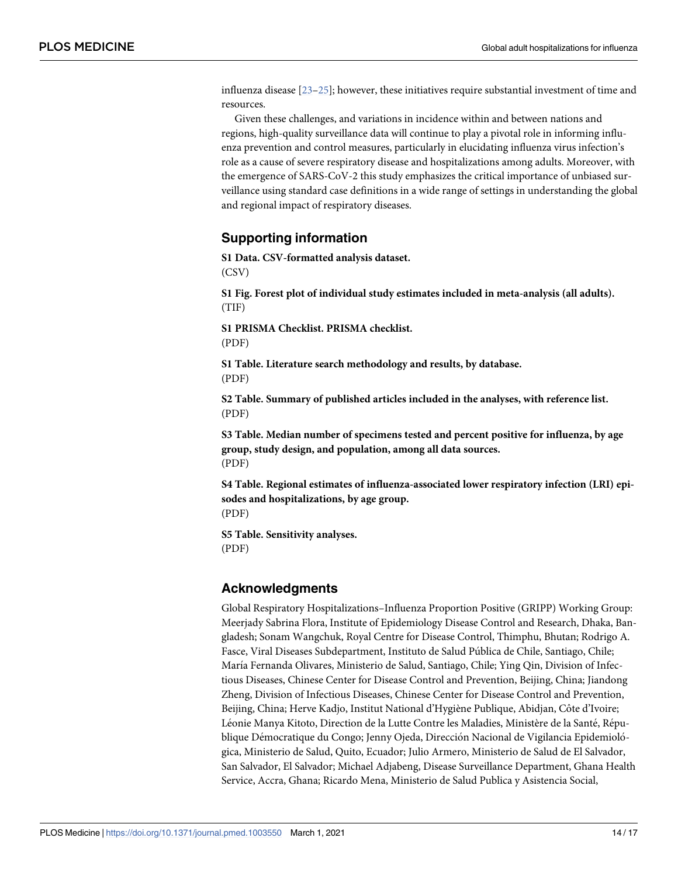<span id="page-13-0"></span>influenza disease [[23–25\]](#page-16-0); however, these initiatives require substantial investment of time and resources.

Given these challenges, and variations in incidence within and between nations and regions, high-quality surveillance data will continue to play a pivotal role in informing influenza prevention and control measures, particularly in elucidating influenza virus infection's role as a cause of severe respiratory disease and hospitalizations among adults. Moreover, with the emergence of SARS-CoV-2 this study emphasizes the critical importance of unbiased surveillance using standard case definitions in a wide range of settings in understanding the global and regional impact of respiratory diseases.

## **Supporting information**

**[S1 Data](http://journals.plos.org/plosmedicine/article/asset?unique&id=info:doi/10.1371/journal.pmed.1003550.s001). CSV-formatted analysis dataset.** (CSV)

**[S1 Fig](http://journals.plos.org/plosmedicine/article/asset?unique&id=info:doi/10.1371/journal.pmed.1003550.s002). Forest plot of individual study estimates included in meta-analysis (all adults).** (TIF)

**[S1 PRISMA Checklist](http://journals.plos.org/plosmedicine/article/asset?unique&id=info:doi/10.1371/journal.pmed.1003550.s003). PRISMA checklist.** (PDF)

**[S1 Table.](http://journals.plos.org/plosmedicine/article/asset?unique&id=info:doi/10.1371/journal.pmed.1003550.s004) Literature search methodology and results, by database.** (PDF)

**[S2 Table.](http://journals.plos.org/plosmedicine/article/asset?unique&id=info:doi/10.1371/journal.pmed.1003550.s005) Summary of published articles included in the analyses, with reference list.** (PDF)

**[S3 Table.](http://journals.plos.org/plosmedicine/article/asset?unique&id=info:doi/10.1371/journal.pmed.1003550.s006) Median number of specimens tested and percent positive for influenza, by age group, study design, and population, among all data sources.** (PDF)

**[S4 Table.](http://journals.plos.org/plosmedicine/article/asset?unique&id=info:doi/10.1371/journal.pmed.1003550.s007) Regional estimates of influenza-associated lower respiratory infection (LRI) episodes and hospitalizations, by age group.** (PDF)

**[S5 Table.](http://journals.plos.org/plosmedicine/article/asset?unique&id=info:doi/10.1371/journal.pmed.1003550.s008) Sensitivity analyses.** (PDF)

## **Acknowledgments**

Global Respiratory Hospitalizations–Influenza Proportion Positive (GRIPP) Working Group: Meerjady Sabrina Flora, Institute of Epidemiology Disease Control and Research, Dhaka, Bangladesh; Sonam Wangchuk, Royal Centre for Disease Control, Thimphu, Bhutan; Rodrigo A. Fasce, Viral Diseases Subdepartment, Instituto de Salud Pública de Chile, Santiago, Chile; María Fernanda Olivares, Ministerio de Salud, Santiago, Chile; Ying Qin, Division of Infectious Diseases, Chinese Center for Disease Control and Prevention, Beijing, China; Jiandong Zheng, Division of Infectious Diseases, Chinese Center for Disease Control and Prevention, Beijing, China; Herve Kadjo, Institut National d'Hygiène Publique, Abidjan, Côte d'Ivoire; Léonie Manya Kitoto, Direction de la Lutte Contre les Maladies, Ministère de la Santé, République Démocratique du Congo; Jenny Ojeda, Dirección Nacional de Vigilancia Epidemioló *:* gica, Ministerio de Salud, Quito, Ecuador; Julio Armero, Ministerio de Salud de El Salvador, San Salvador, El Salvador; Michael Adjabeng, Disease Surveillance Department, Ghana Health Service, Accra, Ghana; Ricardo Mena, Ministerio de Salud Publica y Asistencia Social,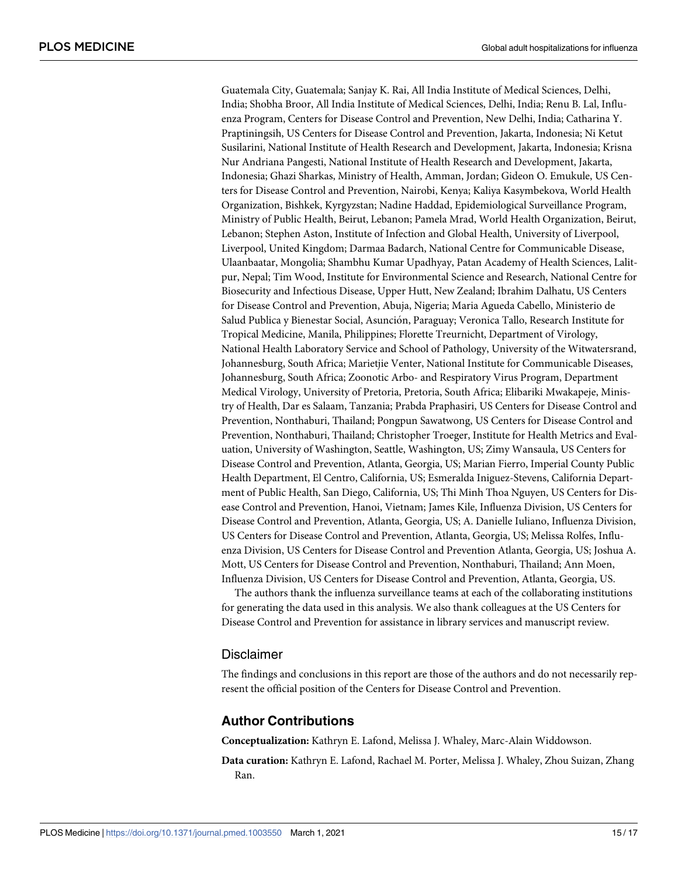Guatemala City, Guatemala; Sanjay K. Rai, All India Institute of Medical Sciences, Delhi, India; Shobha Broor, All India Institute of Medical Sciences, Delhi, India; Renu B. Lal, Influenza Program, Centers for Disease Control and Prevention, New Delhi, India; Catharina Y. Praptiningsih, US Centers for Disease Control and Prevention, Jakarta, Indonesia; Ni Ketut Susilarini, National Institute of Health Research and Development, Jakarta, Indonesia; Krisna Nur Andriana Pangesti, National Institute of Health Research and Development, Jakarta, Indonesia; Ghazi Sharkas, Ministry of Health, Amman, Jordan; Gideon O. Emukule, US Centers for Disease Control and Prevention, Nairobi, Kenya; Kaliya Kasymbekova, World Health Organization, Bishkek, Kyrgyzstan; Nadine Haddad, Epidemiological Surveillance Program, Ministry of Public Health, Beirut, Lebanon; Pamela Mrad, World Health Organization, Beirut, Lebanon; Stephen Aston, Institute of Infection and Global Health, University of Liverpool, Liverpool, United Kingdom; Darmaa Badarch, National Centre for Communicable Disease, Ulaanbaatar, Mongolia; Shambhu Kumar Upadhyay, Patan Academy of Health Sciences, Lalitpur, Nepal; Tim Wood, Institute for Environmental Science and Research, National Centre for Biosecurity and Infectious Disease, Upper Hutt, New Zealand; Ibrahim Dalhatu, US Centers for Disease Control and Prevention, Abuja, Nigeria; Maria Agueda Cabello, Ministerio de Salud Publica y Bienestar Social, Asunción, Paraguay; Veronica Tallo, Research Institute for Tropical Medicine, Manila, Philippines; Florette Treurnicht, Department of Virology, National Health Laboratory Service and School of Pathology, University of the Witwatersrand, Johannesburg, South Africa; Marietjie Venter, National Institute for Communicable Diseases, Johannesburg, South Africa; Zoonotic Arbo- and Respiratory Virus Program, Department Medical Virology, University of Pretoria, Pretoria, South Africa; Elibariki Mwakapeje, Ministry of Health, Dar es Salaam, Tanzania; Prabda Praphasiri, US Centers for Disease Control and Prevention, Nonthaburi, Thailand; Pongpun Sawatwong, US Centers for Disease Control and Prevention, Nonthaburi, Thailand; Christopher Troeger, Institute for Health Metrics and Evaluation, University of Washington, Seattle, Washington, US; Zimy Wansaula, US Centers for Disease Control and Prevention, Atlanta, Georgia, US; Marian Fierro, Imperial County Public Health Department, El Centro, California, US; Esmeralda Iniguez-Stevens, California Department of Public Health, San Diego, California, US; Thi Minh Thoa Nguyen, US Centers for Disease Control and Prevention, Hanoi, Vietnam; James Kile, Influenza Division, US Centers for Disease Control and Prevention, Atlanta, Georgia, US; A. Danielle Iuliano, Influenza Division, US Centers for Disease Control and Prevention, Atlanta, Georgia, US; Melissa Rolfes, Influenza Division, US Centers for Disease Control and Prevention Atlanta, Georgia, US; Joshua A. Mott, US Centers for Disease Control and Prevention, Nonthaburi, Thailand; Ann Moen, Influenza Division, US Centers for Disease Control and Prevention, Atlanta, Georgia, US.

The authors thank the influenza surveillance teams at each of the collaborating institutions for generating the data used in this analysis. We also thank colleagues at the US Centers for Disease Control and Prevention for assistance in library services and manuscript review.

#### Disclaimer

The findings and conclusions in this report are those of the authors and do not necessarily represent the official position of the Centers for Disease Control and Prevention.

#### **Author Contributions**

**Conceptualization:** Kathryn E. Lafond, Melissa J. Whaley, Marc-Alain Widdowson.

**Data curation:** Kathryn E. Lafond, Rachael M. Porter, Melissa J. Whaley, Zhou Suizan, Zhang Ran.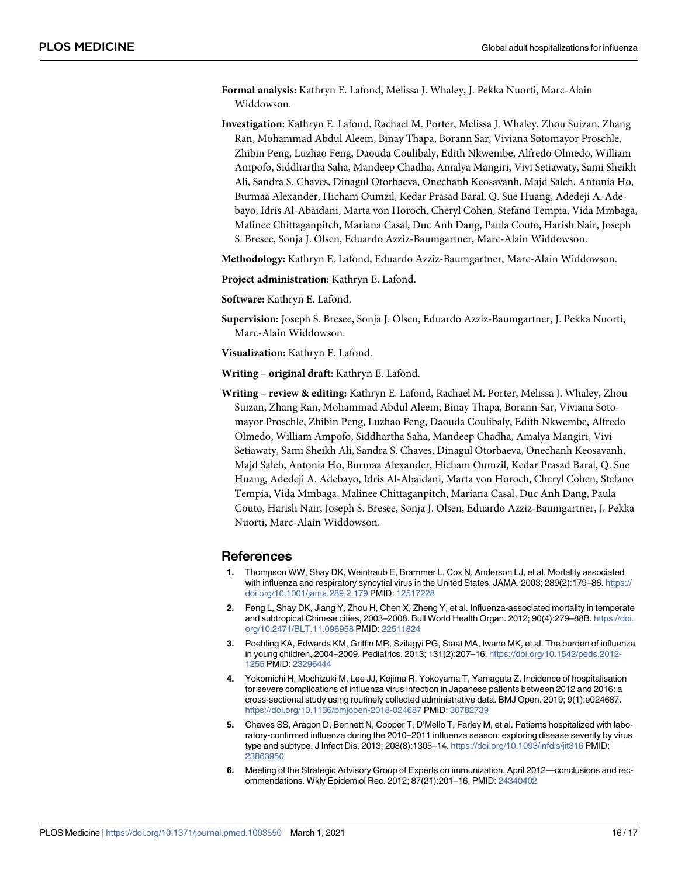- <span id="page-15-0"></span>**Formal analysis:** Kathryn E. Lafond, Melissa J. Whaley, J. Pekka Nuorti, Marc-Alain Widdowson.
- **Investigation:** Kathryn E. Lafond, Rachael M. Porter, Melissa J. Whaley, Zhou Suizan, Zhang Ran, Mohammad Abdul Aleem, Binay Thapa, Borann Sar, Viviana Sotomayor Proschle, Zhibin Peng, Luzhao Feng, Daouda Coulibaly, Edith Nkwembe, Alfredo Olmedo, William Ampofo, Siddhartha Saha, Mandeep Chadha, Amalya Mangiri, Vivi Setiawaty, Sami Sheikh Ali, Sandra S. Chaves, Dinagul Otorbaeva, Onechanh Keosavanh, Majd Saleh, Antonia Ho, Burmaa Alexander, Hicham Oumzil, Kedar Prasad Baral, Q. Sue Huang, Adedeji A. Adebayo, Idris Al-Abaidani, Marta von Horoch, Cheryl Cohen, Stefano Tempia, Vida Mmbaga, Malinee Chittaganpitch, Mariana Casal, Duc Anh Dang, Paula Couto, Harish Nair, Joseph S. Bresee, Sonja J. Olsen, Eduardo Azziz-Baumgartner, Marc-Alain Widdowson.

**Methodology:** Kathryn E. Lafond, Eduardo Azziz-Baumgartner, Marc-Alain Widdowson.

**Project administration:** Kathryn E. Lafond.

**Software:** Kathryn E. Lafond.

- **Supervision:** Joseph S. Bresee, Sonja J. Olsen, Eduardo Azziz-Baumgartner, J. Pekka Nuorti, Marc-Alain Widdowson.
- **Visualization:** Kathryn E. Lafond.
- **Writing original draft:** Kathryn E. Lafond.
- **Writing review & editing:** Kathryn E. Lafond, Rachael M. Porter, Melissa J. Whaley, Zhou Suizan, Zhang Ran, Mohammad Abdul Aleem, Binay Thapa, Borann Sar, Viviana Sotomayor Proschle, Zhibin Peng, Luzhao Feng, Daouda Coulibaly, Edith Nkwembe, Alfredo Olmedo, William Ampofo, Siddhartha Saha, Mandeep Chadha, Amalya Mangiri, Vivi Setiawaty, Sami Sheikh Ali, Sandra S. Chaves, Dinagul Otorbaeva, Onechanh Keosavanh, Majd Saleh, Antonia Ho, Burmaa Alexander, Hicham Oumzil, Kedar Prasad Baral, Q. Sue Huang, Adedeji A. Adebayo, Idris Al-Abaidani, Marta von Horoch, Cheryl Cohen, Stefano Tempia, Vida Mmbaga, Malinee Chittaganpitch, Mariana Casal, Duc Anh Dang, Paula Couto, Harish Nair, Joseph S. Bresee, Sonja J. Olsen, Eduardo Azziz-Baumgartner, J. Pekka Nuorti, Marc-Alain Widdowson.

#### **References**

- **[1](#page-3-0).** Thompson WW, Shay DK, Weintraub E, Brammer L, Cox N, Anderson LJ, et al. Mortality associated with influenza and respiratory syncytial virus in the United States. JAMA. 2003; 289(2):179-86. [https://](https://doi.org/10.1001/jama.289.2.179) [doi.org/10.1001/jama.289.2.179](https://doi.org/10.1001/jama.289.2.179) PMID: [12517228](http://www.ncbi.nlm.nih.gov/pubmed/12517228)
- **2.** Feng L, Shay DK, Jiang Y, Zhou H, Chen X, Zheng Y, et al. Influenza-associated mortality in temperate and subtropical Chinese cities, 2003–2008. Bull World Health Organ. 2012; 90(4):279–88B. [https://doi.](https://doi.org/10.2471/BLT.11.096958) [org/10.2471/BLT.11.096958](https://doi.org/10.2471/BLT.11.096958) PMID: [22511824](http://www.ncbi.nlm.nih.gov/pubmed/22511824)
- **3.** Poehling KA, Edwards KM, Griffin MR, Szilagyi PG, Staat MA, Iwane MK, et al. The burden of influenza in young children, 2004–2009. Pediatrics. 2013; 131(2):207–16. [https://doi.org/10.1542/peds.2012-](https://doi.org/10.1542/peds.2012-1255) [1255](https://doi.org/10.1542/peds.2012-1255) PMID: [23296444](http://www.ncbi.nlm.nih.gov/pubmed/23296444)
- **[4](#page-3-0).** Yokomichi H, Mochizuki M, Lee JJ, Kojima R, Yokoyama T, Yamagata Z. Incidence of hospitalisation for severe complications of influenza virus infection in Japanese patients between 2012 and 2016: a cross-sectional study using routinely collected administrative data. BMJ Open. 2019; 9(1):e024687. <https://doi.org/10.1136/bmjopen-2018-024687> PMID: [30782739](http://www.ncbi.nlm.nih.gov/pubmed/30782739)
- **[5](#page-3-0).** Chaves SS, Aragon D, Bennett N, Cooper T, D'Mello T, Farley M, et al. Patients hospitalized with laboratory-confirmed influenza during the 2010–2011 influenza season: exploring disease severity by virus type and subtype. J Infect Dis. 2013; 208(8):1305–14. <https://doi.org/10.1093/infdis/jit316> PMID: [23863950](http://www.ncbi.nlm.nih.gov/pubmed/23863950)
- **[6](#page-3-0).** Meeting of the Strategic Advisory Group of Experts on immunization, April 2012—conclusions and recommendations. Wkly Epidemiol Rec. 2012; 87(21):201–16. PMID: [24340402](http://www.ncbi.nlm.nih.gov/pubmed/24340402)